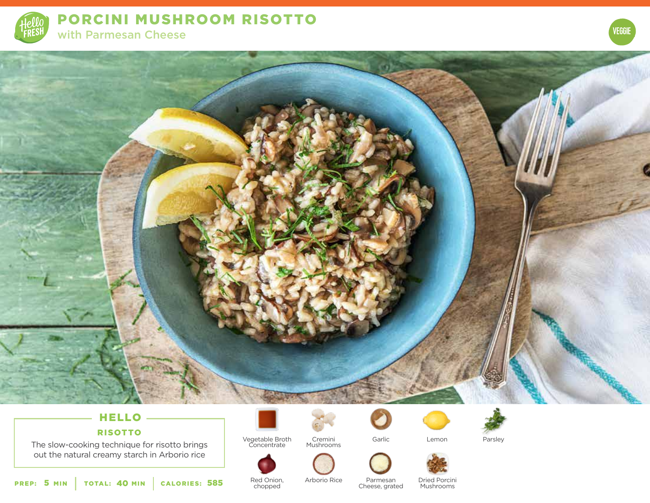

PORCINI MUSHROOM RISOTTO with Parmesan Cheese





# HELLO

## RISOTTO

The slow-cooking technique for risotto brings out the natural creamy starch in Arborio rice



Vegetable Broth Concentrate Cremini Lemon Mushrooms



Garlic



Parsley

PREP: 5 MIN | TOTAL: 40 MIN | CALORIES: **CALORIES: 585** Red Onion, Arborio Rice Parmesan Cheese, grated

Red Onion, chopped

Arborio Rice Parmesan Dried Porcini

**Mushrooms**